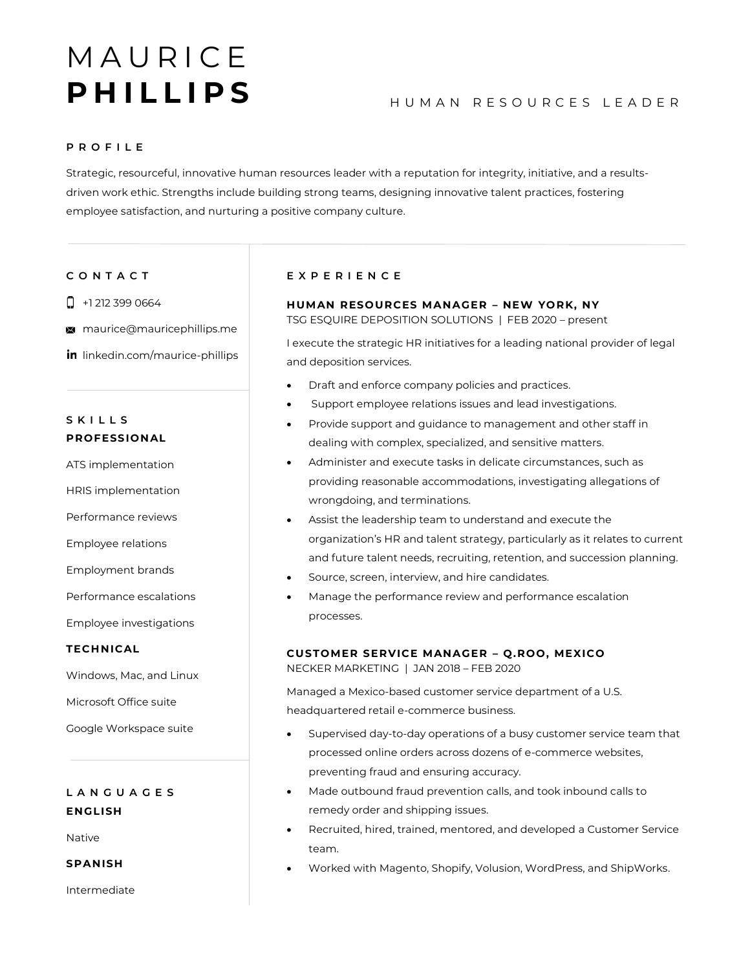# **MAURICE** P H I L L I P S<br>
HUMAN RESOURCES LEADER

## **P R O F I L E**

Strategic, resourceful, innovative human resources leader with a reputation for integrity, initiative, and a resultsdriven work ethic. Strengths include building strong teams, designing innovative talent practices, fostering employee satisfaction, and nurturing a positive company culture.

# **C O N T A C T**

- $\Box$  +1 212 399 0664
- **M** maurice@mauricephillips.me
- in linkedin.com/maurice-phillips

# **S K I L L S PROFESSIONAL**

ATS implementation

HRIS implementation

Performance reviews

Employee relations

Employment brands

Performance escalations

Employee investigations

## **TECHNICAL**

Windows, Mac, and Linux

Microsoft Office suite

Google Workspace suite

# **L A N G U A G E S ENGLISH**

Native

**SPANISH**

Intermediate

# **E X P E R I E N C E**

# **HUMAN RESOURCES MANAGER – NEW YORK, NY**

TSG ESQUIRE DEPOSITION SOLUTIONS | FEB 2020 – present

I execute the strategic HR initiatives for a leading national provider of legal and deposition services.

- Draft and enforce company policies and practices.
- Support employee relations issues and lead investigations.
- Provide support and guidance to management and other staff in dealing with complex, specialized, and sensitive matters.
- Administer and execute tasks in delicate circumstances, such as providing reasonable accommodations, investigating allegations of wrongdoing, and terminations.
- Assist the leadership team to understand and execute the organization's HR and talent strategy, particularly as it relates to current and future talent needs, recruiting, retention, and succession planning.
- Source, screen, interview, and hire candidates.
- Manage the performance review and performance escalation processes.

# **CUSTOMER SERVICE MANAGER – Q.ROO, MEXICO**

NECKER MARKETING | JAN 2018 – FEB 2020

Managed a Mexico-based customer service department of a U.S. headquartered retail e-commerce business.

- Supervised day-to-day operations of a busy customer service team that processed online orders across dozens of e-commerce websites, preventing fraud and ensuring accuracy.
- Made outbound fraud prevention calls, and took inbound calls to remedy order and shipping issues.
- Recruited, hired, trained, mentored, and developed a Customer Service team.
- Worked with Magento, Shopify, Volusion, WordPress, and ShipWorks.